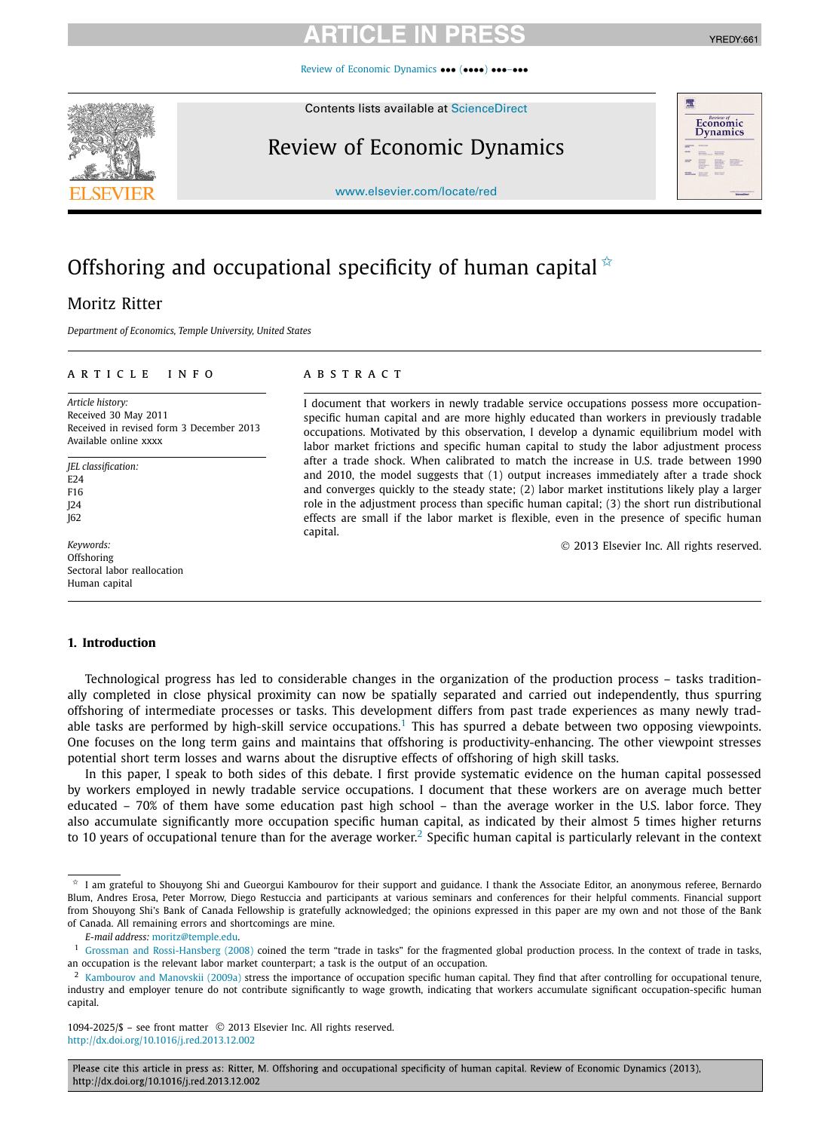[Review of Economic Dynamics](http://dx.doi.org/10.1016/j.red.2013.12.002) ••• (••••) •••–•••

Contents lists available at [ScienceDirect](http://www.ScienceDirect.com/)

## Review of Economic Dynamics

[www.elsevier.com/locate/red](http://www.elsevier.com/locate/red)

# Offshoring and occupational specificity of human capital  $\dot{\mathbf{x}}$

## Moritz Ritter

*Department of Economics, Temple University, United States*

## article info abstract

*Article history:* Received 30 May 2011 Received in revised form 3 December 2013 Available online xxxx

*JEL classification:*  $F24$ F16 J24 J62

*Keywords:* **Offshoring** Sectoral labor reallocation Human capital

I document that workers in newly tradable service occupations possess more occupationspecific human capital and are more highly educated than workers in previously tradable occupations. Motivated by this observation, I develop a dynamic equilibrium model with labor market frictions and specific human capital to study the labor adjustment process after a trade shock. When calibrated to match the increase in U.S. trade between 1990 and 2010, the model suggests that (1) output increases immediately after a trade shock and converges quickly to the steady state; (2) labor market institutions likely play a larger role in the adjustment process than specific human capital; (3) the short run distributional effects are small if the labor market is flexible, even in the presence of specific human capital.

© 2013 Elsevier Inc. All rights reserved.

## **1. Introduction**

Technological progress has led to considerable changes in the organization of the production process – tasks traditionally completed in close physical proximity can now be spatially separated and carried out independently, thus spurring offshoring of intermediate processes or tasks. This development differs from past trade experiences as many newly tradable tasks are performed by high-skill service occupations.<sup>1</sup> This has spurred a debate between two opposing viewpoints. One focuses on the long term gains and maintains that offshoring is productivity-enhancing. The other viewpoint stresses potential short term losses and warns about the disruptive effects of offshoring of high skill tasks.

In this paper, I speak to both sides of this debate. I first provide systematic evidence on the human capital possessed by workers employed in newly tradable service occupations. I document that these workers are on average much better educated – 70% of them have some education past high school – than the average worker in the U.S. labor force. They also accumulate significantly more occupation specific human capital, as indicated by their almost 5 times higher returns to 10 years of occupational tenure than for the average worker.<sup>2</sup> Specific human capital is particularly relevant in the context

1094-2025/\$ – see front matter © 2013 Elsevier Inc. All rights reserved. <http://dx.doi.org/10.1016/j.red.2013.12.002>

Please cite this article in press as: Ritter, M. Offshoring and occupational specificity of human capital. Review of Economic Dynamics (2013), http://dx.doi.org/10.1016/j.red.2013.12.002





 $*$  I am grateful to Shouyong Shi and Gueorgui Kambourov for their support and guidance. I thank the Associate Editor, an anonymous referee, Bernardo Blum, Andres Erosa, Peter Morrow, Diego Restuccia and participants at various seminars and conferences for their helpful comments. Financial support from Shouyong Shi's Bank of Canada Fellowship is gratefully acknowledged; the opinions expressed in this paper are my own and not those of the Bank of Canada. All remaining errors and shortcomings are mine.

*E-mail address:* [moritz@temple.edu](mailto:moritz@temple.edu).

<sup>&</sup>lt;sup>1</sup> [Grossman and Rossi-Hansberg \(2008\)](#page--1-0) coined the term "trade in tasks" for the fragmented global production process. In the context of trade in tasks, an occupation is the relevant labor market counterpart; a task is the output of an occupation.

<sup>&</sup>lt;sup>2</sup> [Kambourov and Manovskii \(2009a\)](#page--1-0) stress the importance of occupation specific human capital. They find that after controlling for occupational tenure, industry and employer tenure do not contribute significantly to wage growth, indicating that workers accumulate significant occupation-specific human capital.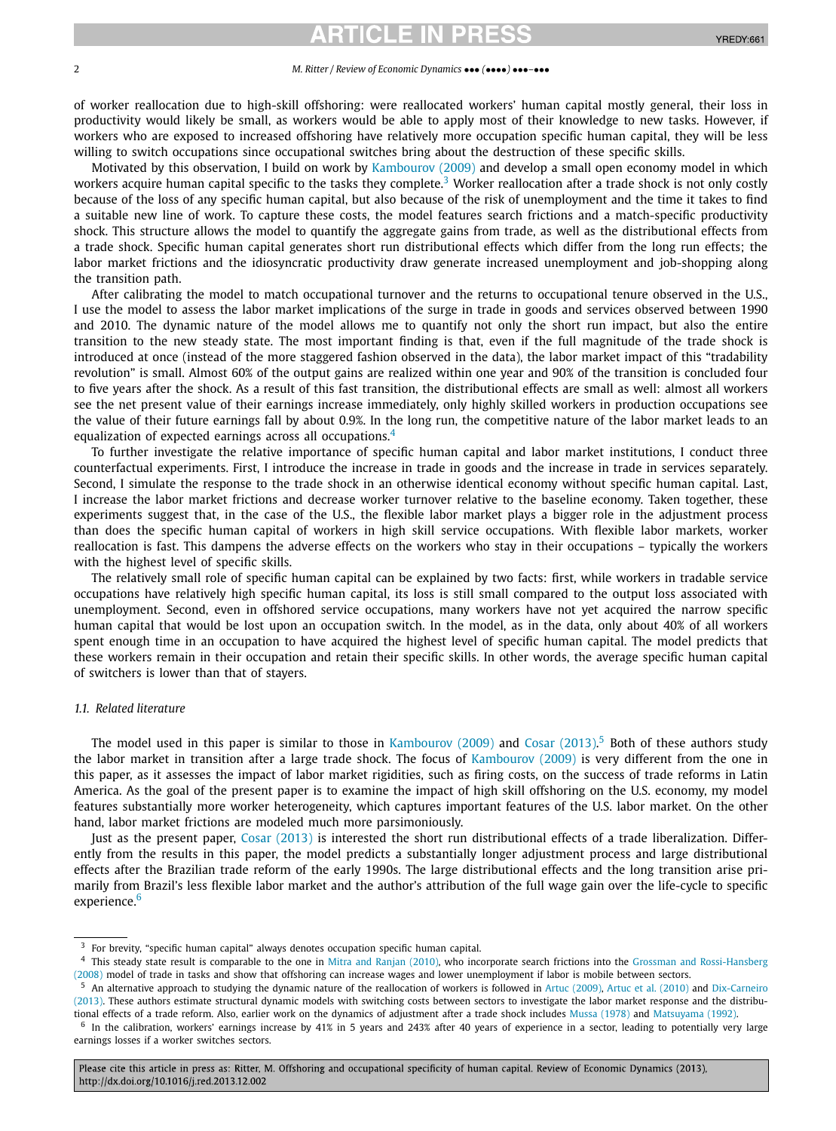# ICI E IN I

### 2 *M. Ritter / Review of Economic Dynamics* ••• *(*••••*)* •••*–*•••

of worker reallocation due to high-skill offshoring: were reallocated workers' human capital mostly general, their loss in productivity would likely be small, as workers would be able to apply most of their knowledge to new tasks. However, if workers who are exposed to increased offshoring have relatively more occupation specific human capital, they will be less willing to switch occupations since occupational switches bring about the destruction of these specific skills.

Motivated by this observation, I build on work by [Kambourov \(2009\)](#page--1-0) and develop a small open economy model in which workers acquire human capital specific to the tasks they complete.<sup>3</sup> Worker reallocation after a trade shock is not only costly because of the loss of any specific human capital, but also because of the risk of unemployment and the time it takes to find a suitable new line of work. To capture these costs, the model features search frictions and a match-specific productivity shock. This structure allows the model to quantify the aggregate gains from trade, as well as the distributional effects from a trade shock. Specific human capital generates short run distributional effects which differ from the long run effects; the labor market frictions and the idiosyncratic productivity draw generate increased unemployment and job-shopping along the transition path.

After calibrating the model to match occupational turnover and the returns to occupational tenure observed in the U.S., I use the model to assess the labor market implications of the surge in trade in goods and services observed between 1990 and 2010. The dynamic nature of the model allows me to quantify not only the short run impact, but also the entire transition to the new steady state. The most important finding is that, even if the full magnitude of the trade shock is introduced at once (instead of the more staggered fashion observed in the data), the labor market impact of this "tradability revolution" is small. Almost 60% of the output gains are realized within one year and 90% of the transition is concluded four to five years after the shock. As a result of this fast transition, the distributional effects are small as well: almost all workers see the net present value of their earnings increase immediately, only highly skilled workers in production occupations see the value of their future earnings fall by about 0.9%. In the long run, the competitive nature of the labor market leads to an equalization of expected earnings across all occupations. $4$ 

To further investigate the relative importance of specific human capital and labor market institutions, I conduct three counterfactual experiments. First, I introduce the increase in trade in goods and the increase in trade in services separately. Second, I simulate the response to the trade shock in an otherwise identical economy without specific human capital. Last, I increase the labor market frictions and decrease worker turnover relative to the baseline economy. Taken together, these experiments suggest that, in the case of the U.S., the flexible labor market plays a bigger role in the adjustment process than does the specific human capital of workers in high skill service occupations. With flexible labor markets, worker reallocation is fast. This dampens the adverse effects on the workers who stay in their occupations – typically the workers with the highest level of specific skills.

The relatively small role of specific human capital can be explained by two facts: first, while workers in tradable service occupations have relatively high specific human capital, its loss is still small compared to the output loss associated with unemployment. Second, even in offshored service occupations, many workers have not yet acquired the narrow specific human capital that would be lost upon an occupation switch. In the model, as in the data, only about 40% of all workers spent enough time in an occupation to have acquired the highest level of specific human capital. The model predicts that these workers remain in their occupation and retain their specific skills. In other words, the average specific human capital of switchers is lower than that of stayers.

## *1.1. Related literature*

The model used in this paper is similar to those in [Kambourov \(2009\)](#page--1-0) and [Cosar \(2013\).](#page--1-0)<sup>5</sup> Both of these authors study the labor market in transition after a large trade shock. The focus of [Kambourov \(2009\)](#page--1-0) is very different from the one in this paper, as it assesses the impact of labor market rigidities, such as firing costs, on the success of trade reforms in Latin America. As the goal of the present paper is to examine the impact of high skill offshoring on the U.S. economy, my model features substantially more worker heterogeneity, which captures important features of the U.S. labor market. On the other hand, labor market frictions are modeled much more parsimoniously.

Just as the present paper, Cosar [\(2013\)](#page--1-0) is interested the short run distributional effects of a trade liberalization. Differently from the results in this paper, the model predicts a substantially longer adjustment process and large distributional effects after the Brazilian trade reform of the early 1990s. The large distributional effects and the long transition arise primarily from Brazil's less flexible labor market and the author's attribution of the full wage gain over the life-cycle to specific experience.<sup>6</sup>

Please cite this article in press as: Ritter, M. Offshoring and occupational specificity of human capital. Review of Economic Dynamics (2013), http://dx.doi.org/10.1016/j.red.2013.12.002

<sup>3</sup> For brevity, "specific human capital" always denotes occupation specific human capital.

<sup>4</sup> This steady state result is comparable to the one in [Mitra and Ranjan \(2010\),](#page--1-0) who incorporate search frictions into the [Grossman and Rossi-Hansberg](#page--1-0) [\(2008\)](#page--1-0) model of trade in tasks and show that offshoring can increase wages and lower unemployment if labor is mobile between sectors.

<sup>5</sup> An alternative approach to studying the dynamic nature of the reallocation of workers is followed in [Artuc \(2009\),](#page--1-0) [Artuc et al. \(2010\)](#page--1-0) and [Dix-Carneiro](#page--1-0) [\(2013\).](#page--1-0) These authors estimate structural dynamic models with switching costs between sectors to investigate the labor market response and the distributional effects of a trade reform. Also, earlier work on the dynamics of adjustment after a trade shock includes [Mussa \(1978\)](#page--1-0) and [Matsuyama \(1992\).](#page--1-0)

 $<sup>6</sup>$  In the calibration, workers' earnings increase by 41% in 5 years and 243% after 40 years of experience in a sector, leading to potentially very large</sup> earnings losses if a worker switches sectors.